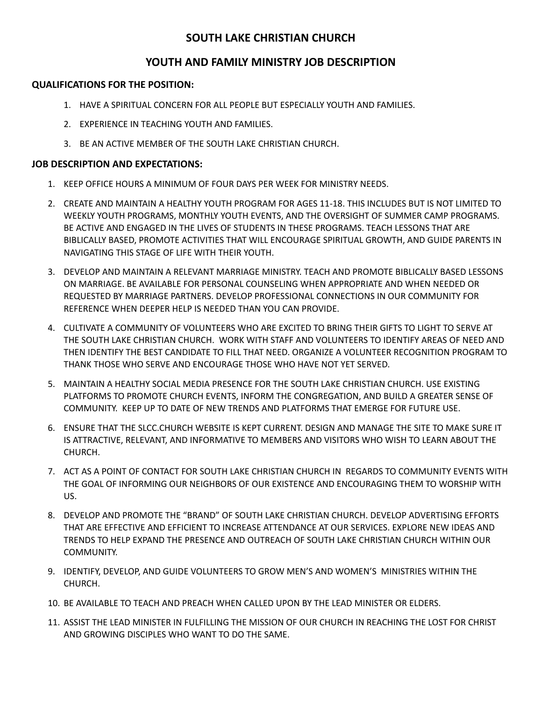## **SOUTH LAKE CHRISTIAN CHURCH**

## **YOUTH AND FAMILY MINISTRY JOB DESCRIPTION**

## **QUALIFICATIONS FOR THE POSITION:**

- 1. HAVE A SPIRITUAL CONCERN FOR ALL PEOPLE BUT ESPECIALLY YOUTH AND FAMILIES.
- 2. EXPERIENCE IN TEACHING YOUTH AND FAMILIES.
- 3. BE AN ACTIVE MEMBER OF THE SOUTH LAKE CHRISTIAN CHURCH.

## **JOB DESCRIPTION AND EXPECTATIONS:**

- 1. KEEP OFFICE HOURS A MINIMUM OF FOUR DAYS PER WEEK FOR MINISTRY NEEDS.
- 2. CREATE AND MAINTAIN A HEALTHY YOUTH PROGRAM FOR AGES 11-18. THIS INCLUDES BUT IS NOT LIMITED TO WEEKLY YOUTH PROGRAMS, MONTHLY YOUTH EVENTS, AND THE OVERSIGHT OF SUMMER CAMP PROGRAMS. BE ACTIVE AND ENGAGED IN THE LIVES OF STUDENTS IN THESE PROGRAMS. TEACH LESSONS THAT ARE BIBLICALLY BASED, PROMOTE ACTIVITIES THAT WILL ENCOURAGE SPIRITUAL GROWTH, AND GUIDE PARENTS IN NAVIGATING THIS STAGE OF LIFE WITH THEIR YOUTH.
- 3. DEVELOP AND MAINTAIN A RELEVANT MARRIAGE MINISTRY. TEACH AND PROMOTE BIBLICALLY BASED LESSONS ON MARRIAGE. BE AVAILABLE FOR PERSONAL COUNSELING WHEN APPROPRIATE AND WHEN NEEDED OR REQUESTED BY MARRIAGE PARTNERS. DEVELOP PROFESSIONAL CONNECTIONS IN OUR COMMUNITY FOR REFERENCE WHEN DEEPER HELP IS NEEDED THAN YOU CAN PROVIDE.
- 4. CULTIVATE A COMMUNITY OF VOLUNTEERS WHO ARE EXCITED TO BRING THEIR GIFTS TO LIGHT TO SERVE AT THE SOUTH LAKE CHRISTIAN CHURCH. WORK WITH STAFF AND VOLUNTEERS TO IDENTIFY AREAS OF NEED AND THEN IDENTIFY THE BEST CANDIDATE TO FILL THAT NEED. ORGANIZE A VOLUNTEER RECOGNITION PROGRAM TO THANK THOSE WHO SERVE AND ENCOURAGE THOSE WHO HAVE NOT YET SERVED.
- 5. MAINTAIN A HEALTHY SOCIAL MEDIA PRESENCE FOR THE SOUTH LAKE CHRISTIAN CHURCH. USE EXISTING PLATFORMS TO PROMOTE CHURCH EVENTS, INFORM THE CONGREGATION, AND BUILD A GREATER SENSE OF COMMUNITY. KEEP UP TO DATE OF NEW TRENDS AND PLATFORMS THAT EMERGE FOR FUTURE USE.
- 6. ENSURE THAT THE SLCC.CHURCH WEBSITE IS KEPT CURRENT. DESIGN AND MANAGE THE SITE TO MAKE SURE IT IS ATTRACTIVE, RELEVANT, AND INFORMATIVE TO MEMBERS AND VISITORS WHO WISH TO LEARN ABOUT THE CHURCH.
- 7. ACT AS A POINT OF CONTACT FOR SOUTH LAKE CHRISTIAN CHURCH IN REGARDS TO COMMUNITY EVENTS WITH THE GOAL OF INFORMING OUR NEIGHBORS OF OUR EXISTENCE AND ENCOURAGING THEM TO WORSHIP WITH US.
- 8. DEVELOP AND PROMOTE THE "BRAND" OF SOUTH LAKE CHRISTIAN CHURCH. DEVELOP ADVERTISING EFFORTS THAT ARE EFFECTIVE AND EFFICIENT TO INCREASE ATTENDANCE AT OUR SERVICES. EXPLORE NEW IDEAS AND TRENDS TO HELP EXPAND THE PRESENCE AND OUTREACH OF SOUTH LAKE CHRISTIAN CHURCH WITHIN OUR COMMUNITY.
- 9. IDENTIFY, DEVELOP, AND GUIDE VOLUNTEERS TO GROW MEN'S AND WOMEN'S MINISTRIES WITHIN THE CHURCH.
- 10. BE AVAILABLE TO TEACH AND PREACH WHEN CALLED UPON BY THE LEAD MINISTER OR ELDERS.
- 11. ASSIST THE LEAD MINISTER IN FULFILLING THE MISSION OF OUR CHURCH IN REACHING THE LOST FOR CHRIST AND GROWING DISCIPLES WHO WANT TO DO THE SAME.